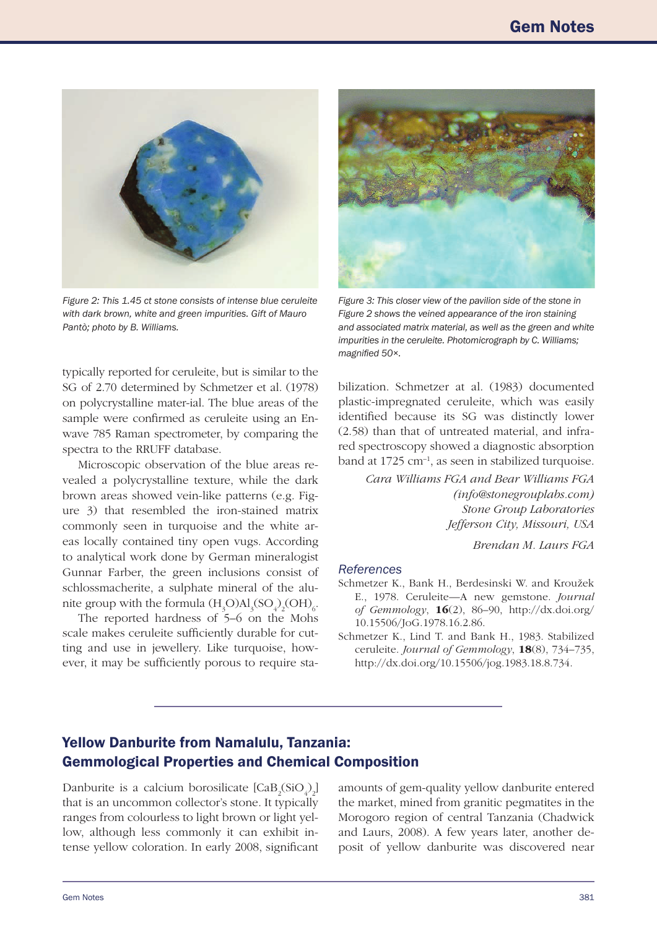

*Figure 2: This 1.45 ct stone consists of intense blue ceruleite with dark brown, white and green impurities. Gift of Mauro Pantò; photo by B. Williams.* 

typically reported for ceruleite, but is similar to the SG of 2.70 determined by Schmetzer et al. (1978) on polycrystalline mater-ial. The blue areas of the sample were confirmed as ceruleite using an Enwave 785 Raman spectrometer, by comparing the spectra to the RRUFF database.

Microscopic observation of the blue areas revealed a polycrystalline texture, while the dark brown areas showed vein-like patterns (e.g. Figure 3) that resembled the iron-stained matrix commonly seen in turquoise and the white areas locally contained tiny open vugs. According to analytical work done by German mineralogist Gunnar Farber, the green inclusions consist of schlossmacherite, a sulphate mineral of the alunite group with the formula  $(\text{H}_{3}\text{O})\text{Al}_{3}(\text{SO}_{4})_{2}(\text{OH})_{6}$ .

The reported hardness of 5–6 on the Mohs scale makes ceruleite suficiently durable for cutting and use in jewellery. Like turquoise, however, it may be suficiently porous to require sta-



*Figure 3: This closer view of the pavilion side of the stone in Figure 2 shows the veined appearance of the iron staining and associated matrix material, as well as the green and white impurities in the ceruleite. Photomicrograph by C. Williams;*  magnified 50×.

bilization. Schmetzer at al. (1983) documented plastic-impregnated ceruleite, which was easily identified because its SG was distinctly lower (2.58) than that of untreated material, and infrared spectroscopy showed a diagnostic absorption band at  $1725 \text{ cm}^{-1}$ , as seen in stabilized turquoise.

> *Cara Williams FGA and Bear Williams FGA ([info@stonegrouplabs.com](mailto:info%40stonegrouplabs.com?subject=)) Stone Group Laboratories Jefferson City, Missouri, USA*

> > *Brendan M. Laurs FGA*

## *References*

- Schmetzer K., Bank H., Berdesinski W. and Kroužek E., 1978. Ceruleite—A new gemstone. *Journal of Gemmology*, 16(2), 86–90, [http://dx.doi.org/](http://dx.doi.org/10.15506/JoG.1978.16.2.86) [10.15506/JoG.1978.16.2.86](http://dx.doi.org/10.15506/JoG.1978.16.2.86).
- Schmetzer K., Lind T. and Bank H., 1983. Stabilized ceruleite. *Journal of Gemmology*, 18(8), 734–735, [http://dx.doi.org/10.15506/jog.1983.18.8.734.](http://dx.doi.org/10.15506/jog.1983.18.8.734)

## Yellow Danburite from Namalulu, Tanzania: Gemmological Properties and Chemical Composition

Danburite is a calcium borosilicate  $[CaB_2(SiO_4)_2]$ that is an uncommon collector's stone. It typically ranges from colourless to light brown or light yellow, although less commonly it can exhibit intense yellow coloration. In early 2008, significant

amounts of gem-quality yellow danburite entered the market, mined from granitic pegmatites in the Morogoro region of central Tanzania (Chadwick and Laurs, 2008). A few years later, another deposit of yellow danburite was discovered near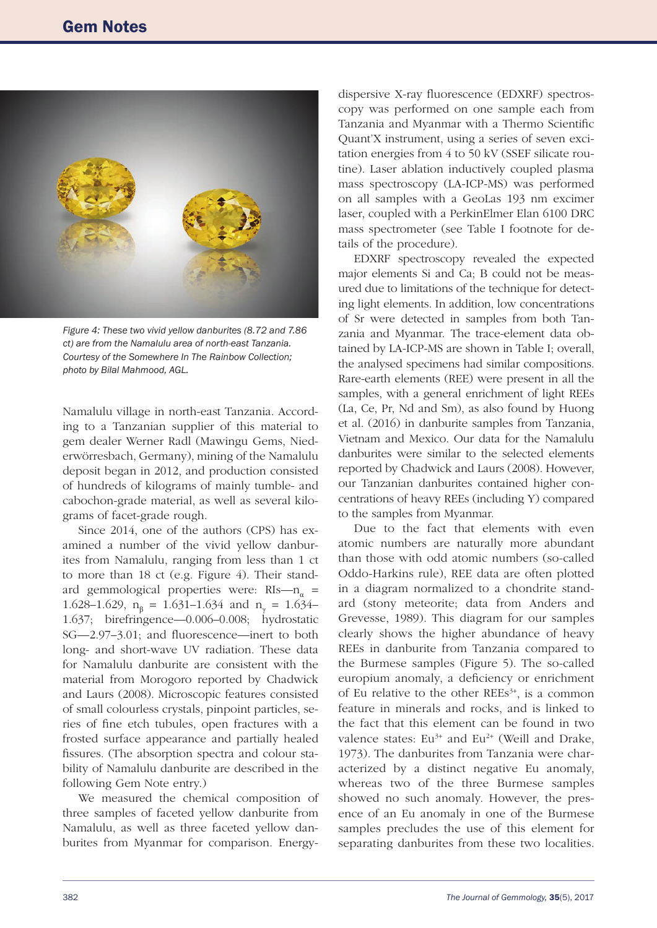

*Figure 4: These two vivid yellow danburites (8.72 and 7.86 ct) are from the Namalulu area of north-east Tanzania. Courtesy of the Somewhere In The Rainbow Collection; photo by Bilal Mahmood, AGL.*

Namalulu village in north-east Tanzania. According to a Tanzanian supplier of this material to gem dealer Werner Radl (Mawingu Gems, Niederwörresbach, Germany), mining of the Namalulu deposit began in 2012, and production consisted of hundreds of kilograms of mainly tumble- and cabochon-grade material, as well as several kilograms of facet-grade rough.

Since 2014, one of the authors (CPS) has examined a number of the vivid yellow danburites from Namalulu, ranging from less than 1 ct to more than 18 ct (e.g. Figure 4). Their standard gemmological properties were:  $RIs-n_{\alpha}$  = 1.628–1.629,  $n_{\beta} = 1.631$ –1.634 and  $n_{\gamma} = 1.634$ – 1.637; birefringence—0.006–0.008; hydrostatic SG—2.97-3.01; and fluorescence—inert to both long- and short-wave UV radiation. These data for Namalulu danburite are consistent with the material from Morogoro reported by Chadwick and Laurs (2008). Microscopic features consisted of small colourless crystals, pinpoint particles, series of ine etch tubules, open fractures with a frosted surface appearance and partially healed fissures. (The absorption spectra and colour stability of Namalulu danburite are described in the following Gem Note entry.)

We measured the chemical composition of three samples of faceted yellow danburite from Namalulu, as well as three faceted yellow danburites from Myanmar for comparison. Energy-

dispersive X-ray fluorescence (EDXRF) spectroscopy was performed on one sample each from Tanzania and Myanmar with a Thermo Scientific Quant'X instrument, using a series of seven excitation energies from 4 to 50 kV (SSEF silicate routine). Laser ablation inductively coupled plasma mass spectroscopy (LA-ICP-MS) was performed on all samples with a GeoLas 193 nm excimer laser, coupled with a PerkinElmer Elan 6100 DRC mass spectrometer (see Table I footnote for details of the procedure).

EDXRF spectroscopy revealed the expected major elements Si and Ca; B could not be measured due to limitations of the technique for detecting light elements. In addition, low concentrations of Sr were detected in samples from both Tanzania and Myanmar. The trace-element data obtained by LA-ICP-MS are shown in Table I; overall, the analysed specimens had similar compositions. Rare-earth elements (REE) were present in all the samples, with a general enrichment of light REEs (La, Ce, Pr, Nd and Sm), as also found by Huong et al. (2016) in danburite samples from Tanzania, Vietnam and Mexico. Our data for the Namalulu danburites were similar to the selected elements reported by Chadwick and Laurs (2008). However, our Tanzanian danburites contained higher concentrations of heavy REEs (including Y) compared to the samples from Myanmar.

Due to the fact that elements with even atomic numbers are naturally more abundant than those with odd atomic numbers (so-called Oddo-Harkins rule), REE data are often plotted in a diagram normalized to a chondrite standard (stony meteorite; data from Anders and Grevesse, 1989). This diagram for our samples clearly shows the higher abundance of heavy REEs in danburite from Tanzania compared to the Burmese samples (Figure 5). The so-called europium anomaly, a deficiency or enrichment of Eu relative to the other  $REEs^{3+}$ , is a common feature in minerals and rocks, and is linked to the fact that this element can be found in two valence states:  $Eu^{3+}$  and  $Eu^{2+}$  (Weill and Drake, 1973). The danburites from Tanzania were characterized by a distinct negative Eu anomaly, whereas two of the three Burmese samples showed no such anomaly. However, the presence of an Eu anomaly in one of the Burmese samples precludes the use of this element for separating danburites from these two localities.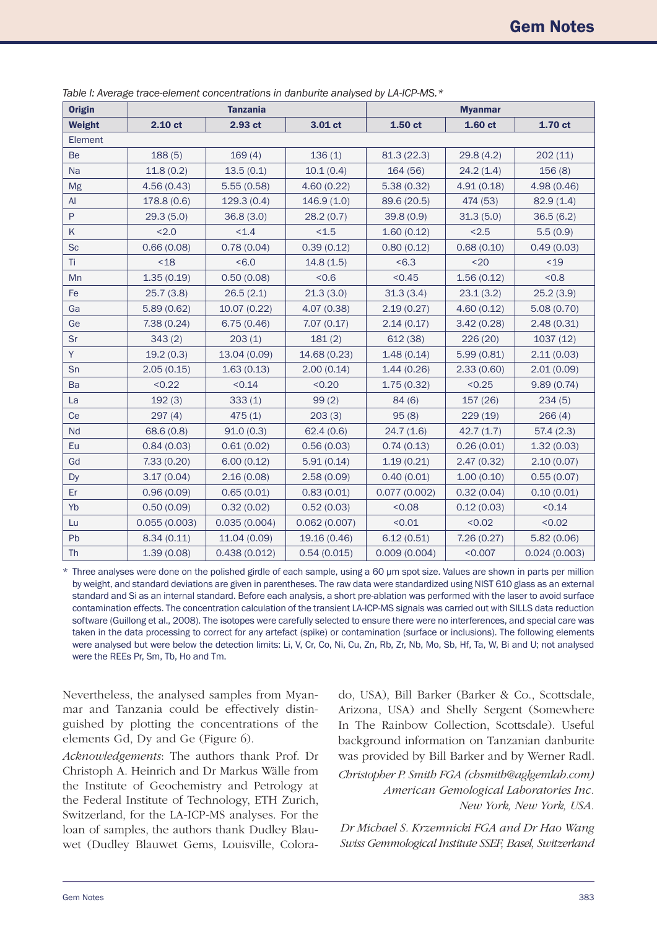| <b>Origin</b> | <b>Tanzania</b> |              |              | <b>Myanmar</b> |            |              |
|---------------|-----------------|--------------|--------------|----------------|------------|--------------|
| <b>Weight</b> | $2.10$ ct       | 2.93 ct      | 3.01 ct      | $1.50$ ct      | 1.60 ct    | 1.70 ct      |
| Element       |                 |              |              |                |            |              |
| <b>Be</b>     | 188(5)          | 169(4)       | 136(1)       | 81.3(22.3)     | 29.8(4.2)  | 202(11)      |
| <b>Na</b>     | 11.8(0.2)       | 13.5(0.1)    | 10.1(0.4)    | 164 (56)       | 24.2(1.4)  | 156(8)       |
| Mg            | 4.56(0.43)      | 5.55(0.58)   | 4.60(0.22)   | 5.38(0.32)     | 4.91(0.18) | 4.98 (0.46)  |
| AI            | 178.8 (0.6)     | 129.3(0.4)   | 146.9(1.0)   | 89.6 (20.5)    | 474 (53)   | 82.9(1.4)    |
| ${\sf P}$     | 29.3(5.0)       | 36.8(3.0)    | 28.2(0.7)    | 39.8(0.9)      | 31.3(5.0)  | 36.5(6.2)    |
| K             | < 2.0           | < 1.4        | < 1.5        | 1.60(0.12)     | < 2.5      | 5.5(0.9)     |
| <b>Sc</b>     | 0.66(0.08)      | 0.78(0.04)   | 0.39(0.12)   | 0.80(0.12)     | 0.68(0.10) | 0.49(0.03)   |
| Ti            | $18$            | <6.0         | 14.8(1.5)    | <6.3           | $20$       | < 19         |
| Mn            | 1.35(0.19)      | 0.50(0.08)   | < 0.6        | < 0.45         | 1.56(0.12) | &0.8         |
| Fe            | 25.7(3.8)       | 26.5(2.1)    | 21.3(3.0)    | 31.3(3.4)      | 23.1(3.2)  | 25.2(3.9)    |
| Ga            | 5.89(0.62)      | 10.07 (0.22) | 4.07 (0.38)  | 2.19(0.27)     | 4.60(0.12) | 5.08(0.70)   |
| Ge            | 7.38(0.24)      | 6.75(0.46)   | 7.07(0.17)   | 2.14(0.17)     | 3.42(0.28) | 2.48(0.31)   |
| Sr            | 343(2)          | 203(1)       | 181(2)       | 612 (38)       | 226 (20)   | 1037(12)     |
| Y             | 19.2(0.3)       | 13.04 (0.09) | 14.68 (0.23) | 1.48(0.14)     | 5.99(0.81) | 2.11(0.03)   |
| Sn            | 2.05(0.15)      | 1.63(0.13)   | 2.00(0.14)   | 1.44(0.26)     | 2.33(0.60) | 2.01(0.09)   |
| Ba            | < 0.22          | < 0.14       | < 0.20       | 1.75(0.32)     | < 0.25     | 9.89(0.74)   |
| La            | 192(3)          | 333(1)       | 99(2)        | 84(6)          | 157 (26)   | 234(5)       |
| Ce            | 297(4)          | 475(1)       | 203(3)       | 95(8)          | 229 (19)   | 266(4)       |
| Nd            | 68.6 (0.8)      | 91.0(0.3)    | 62.4(0.6)    | 24.7(1.6)      | 42.7(1.7)  | 57.4(2.3)    |
| Eu            | 0.84(0.03)      | 0.61(0.02)   | 0.56(0.03)   | 0.74(0.13)     | 0.26(0.01) | 1.32(0.03)   |
| Gd            | 7.33(0.20)      | 6.00(0.12)   | 5.91(0.14)   | 1.19(0.21)     | 2.47(0.32) | 2.10(0.07)   |
| <b>Dy</b>     | 3.17(0.04)      | 2.16(0.08)   | 2.58(0.09)   | 0.40(0.01)     | 1.00(0.10) | 0.55(0.07)   |
| Er            | 0.96(0.09)      | 0.65(0.01)   | 0.83(0.01)   | 0.077(0.002)   | 0.32(0.04) | 0.10(0.01)   |
| Yb            | 0.50(0.09)      | 0.32(0.02)   | 0.52(0.03)   | < 0.08         | 0.12(0.03) | < 0.14       |
| Lu            | 0.055(0.003)    | 0.035(0.004) | 0.062(0.007) | < 0.01         | < 0.02     | < 0.02       |
| Pb            | 8.34(0.11)      | 11.04 (0.09) | 19.16 (0.46) | 6.12(0.51)     | 7.26(0.27) | 5.82(0.06)   |
| <b>Th</b>     | 1.39(0.08)      | 0.438(0.012) | 0.54(0.015)  | 0.009(0.004)   | < 0.007    | 0.024(0.003) |

*Table I: Average trace-element concentrations in danburite analysed by LA-ICP-MS.\**

\* Three analyses were done on the polished girdle of each sample, using a 60 µm spot size. Values are shown in parts per million by weight, and standard deviations are given in parentheses. The raw data were standardized using NIST 610 glass as an external standard and Si as an internal standard. Before each analysis, a short pre-ablation was performed with the laser to avoid surface contamination effects. The concentration calculation of the transient LA-ICP-MS signals was carried out with SILLS data reduction software (Guillong et al., 2008). The isotopes were carefully selected to ensure there were no interferences, and special care was taken in the data processing to correct for any artefact (spike) or contamination (surface or inclusions). The following elements were analysed but were below the detection limits: Li, V, Cr, Co, Ni, Cu, Zn, Rb, Zr, Nb, Mo, Sb, Hf, Ta, W, Bi and U; not analysed were the REEs Pr, Sm, Tb, Ho and Tm.

Nevertheless, the analysed samples from Myanmar and Tanzania could be effectively distinguished by plotting the concentrations of the elements Gd, Dy and Ge (Figure 6).

*Acknowledgements*: The authors thank Prof. Dr Christoph A. Heinrich and Dr Markus Wälle from the Institute of Geochemistry and Petrology at the Federal Institute of Technology, ETH Zurich, Switzerland, for the LA-ICP-MS analyses. For the loan of samples, the authors thank Dudley Blauwet (Dudley Blauwet Gems, Louisville, Colorado, USA), Bill Barker (Barker & Co., Scottsdale, Arizona, USA) and Shelly Sergent (Somewhere In The Rainbow Collection, Scottsdale). Useful background information on Tanzanian danburite was provided by Bill Barker and by Werner Radl. *Christopher P. Smith FGA ([chsmith@aglgemlab.com\)](mailto:chsmith%40aglgemlab.com?subject=) American Gemological Laboratories Inc. New York, New York, USA.*

*Dr Michael S. Krzemnicki FGA and Dr Hao Wang Swiss Gemmological Institute SSEF, Basel, Switzerland*